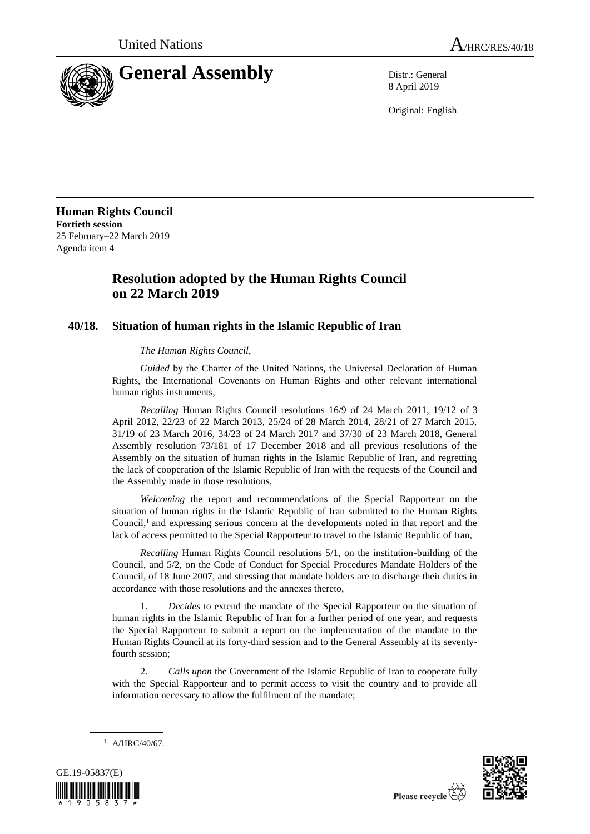

8 April 2019

Original: English

**Human Rights Council Fortieth session** 25 February–22 March 2019 Agenda item 4

## **Resolution adopted by the Human Rights Council on 22 March 2019**

## **40/18. Situation of human rights in the Islamic Republic of Iran**

*The Human Rights Council*,

*Guided* by the Charter of the United Nations, the Universal Declaration of Human Rights, the International Covenants on Human Rights and other relevant international human rights instruments,

*Recalling* Human Rights Council resolutions 16/9 of 24 March 2011, 19/12 of 3 April 2012, 22/23 of 22 March 2013, 25/24 of 28 March 2014, 28/21 of 27 March 2015, 31/19 of 23 March 2016, 34/23 of 24 March 2017 and 37/30 of 23 March 2018, General Assembly resolution 73/181 of 17 December 2018 and all previous resolutions of the Assembly on the situation of human rights in the Islamic Republic of Iran, and regretting the lack of cooperation of the Islamic Republic of Iran with the requests of the Council and the Assembly made in those resolutions,

*Welcoming* the report and recommendations of the Special Rapporteur on the situation of human rights in the Islamic Republic of Iran submitted to the Human Rights Council,<sup>1</sup> and expressing serious concern at the developments noted in that report and the lack of access permitted to the Special Rapporteur to travel to the Islamic Republic of Iran,

*Recalling* Human Rights Council resolutions 5/1, on the institution-building of the Council, and 5/2, on the Code of Conduct for Special Procedures Mandate Holders of the Council, of 18 June 2007, and stressing that mandate holders are to discharge their duties in accordance with those resolutions and the annexes thereto,

1. *Decides* to extend the mandate of the Special Rapporteur on the situation of human rights in the Islamic Republic of Iran for a further period of one year, and requests the Special Rapporteur to submit a report on the implementation of the mandate to the Human Rights Council at its forty-third session and to the General Assembly at its seventyfourth session;

2. *Calls upon* the Government of the Islamic Republic of Iran to cooperate fully with the Special Rapporteur and to permit access to visit the country and to provide all information necessary to allow the fulfilment of the mandate;

 $1$  A/HRC/40/67.